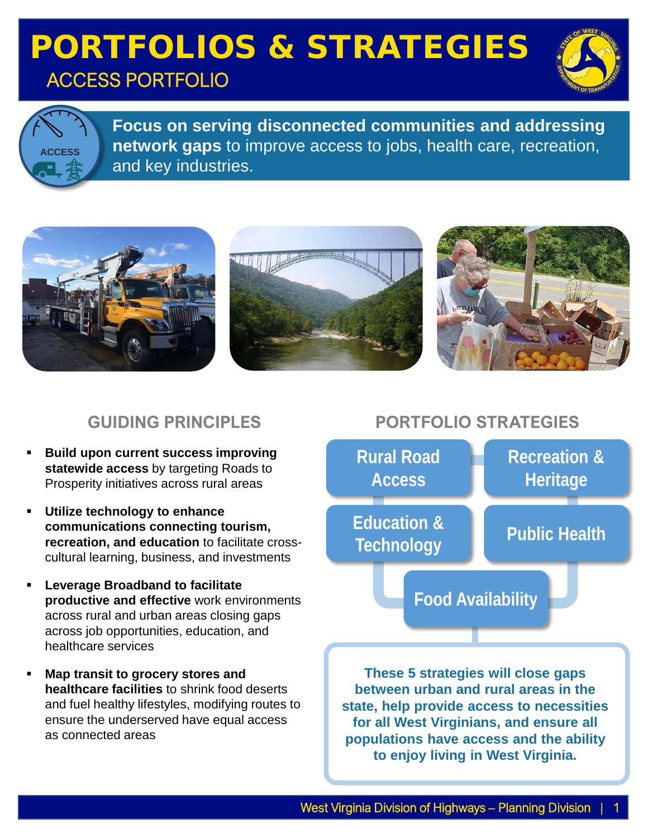### PORTFOLIOS & STRATEGIES ACCESS PORTFOLIO





**Focus on serving disconnected communities and addressing network gaps** to improve access to jobs, health care, recreation, and key industries.



#### **GUIDING PRINCIPLES**

- **Build upon current success improving statewide access** by targeting Roads to Prosperity initiatives across rural areas
- **Utilize technology to enhance communications connecting tourism, recreation, and education** to facilitate crosscultural learning, business, and investments
- **Leverage Broadband to facilitate productive and effective** work environments across rural and urban areas closing gaps across job opportunities, education, and healthcare services
- **Map transit to grocery stores and healthcare facilities** to shrink food deserts and fuel healthy lifestyles, modifying routes to ensure the underserved have equal access as connected areas

### **PORTFOLIO STRATEGIES**



**state, help provide access to necessities for all West Virginians, and ensure all populations have access and the ability to enjoy living in West Virginia.**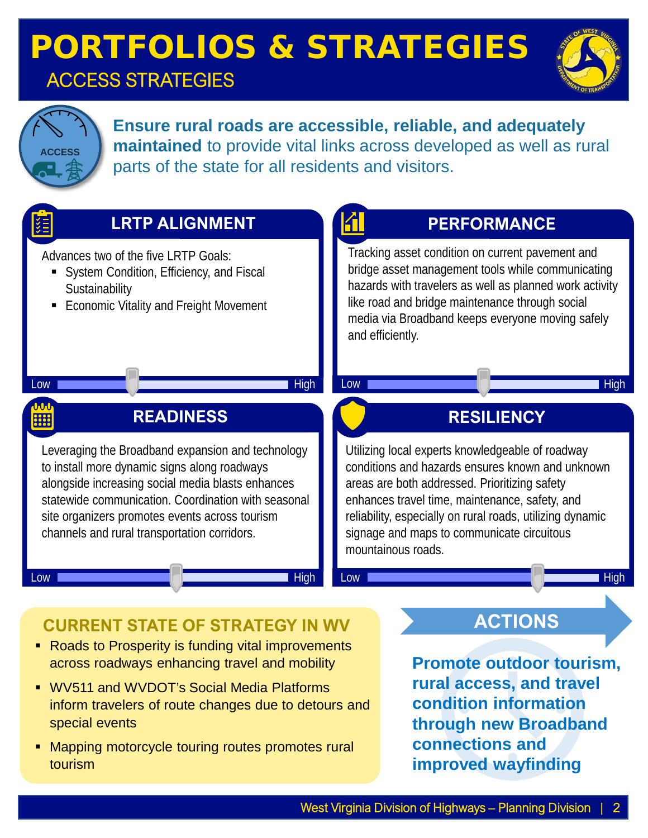### ACCESS STRATEGIES





**Ensure rural roads are accessible, reliable, and adequately maintained** to provide vital links across developed as well as rural parts of the state for all residents and visitors.



- WV511 and WVDOT's Social Media Platforms inform travelers of route changes due to detours and special events
- Mapping motorcycle touring routes promotes rural tourism

**rural access, and travel condition information through new Broadband connections and improved wayfinding**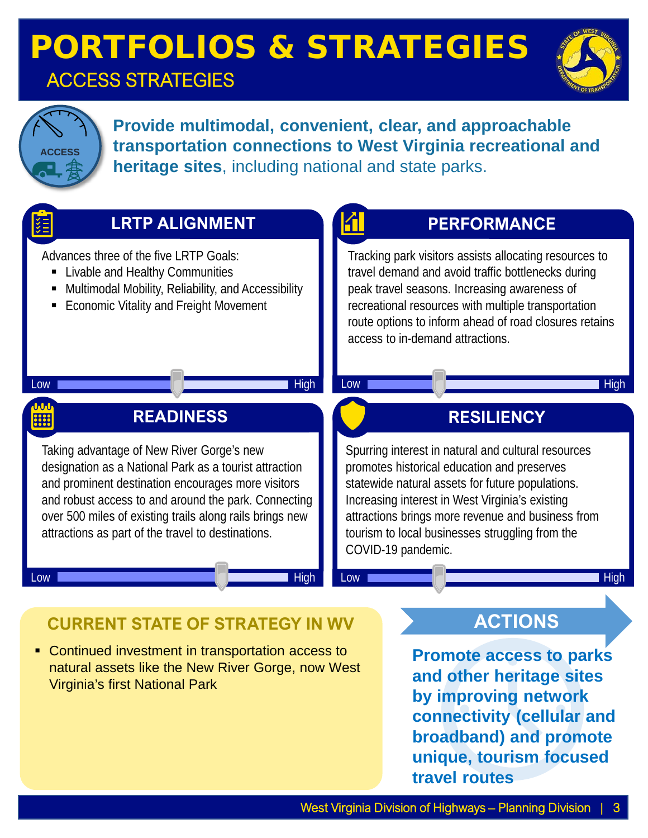### ACCESS STRATEGIES





**Provide multimodal, convenient, clear, and approachable transportation connections to West Virginia recreational and heritage sites**, including national and state parks.



• Continued investment in transportation access to natural assets like the New River Gorge, now West Virginia's first National Park

**Promote access to parks and other heritage sites by improving network connectivity (cellular and broadband) and promote unique, tourism focused travel routes**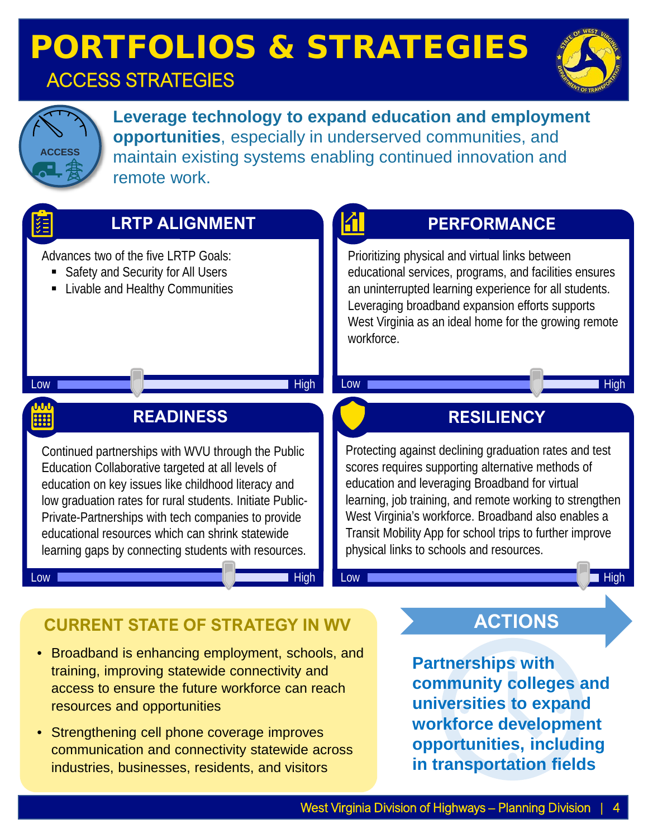### ACCESS STRATEGIES





**Leverage technology to expand education and employment opportunities**, especially in underserved communities, and maintain existing systems enabling continued innovation and remote work.



- Broadband is enhancing employment, schools, and training, improving statewide connectivity and access to ensure the future workforce can reach resources and opportunities
- Strengthening cell phone coverage improves communication and connectivity statewide across industries, businesses, residents, and visitors

**Partnerships with community colleges and universities to expand workforce development opportunities, including in transportation fields**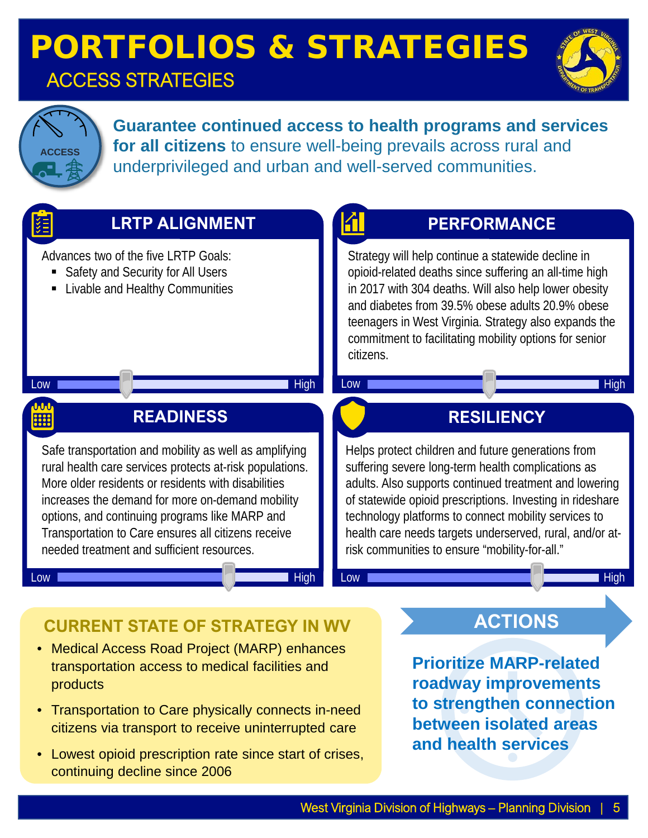### ACCESS STRATEGIES





products

**Guarantee continued access to health programs and services for all citizens** to ensure well-being prevails across rural and underprivileged and urban and well-served communities.



- Transportation to Care physically connects in-need citizens via transport to receive uninterrupted care
- Lowest opioid prescription rate since start of crises, continuing decline since 2006

West Virginia Division of Highways - Planning Division

**to strengthen connection between isolated areas** 

**and health services**